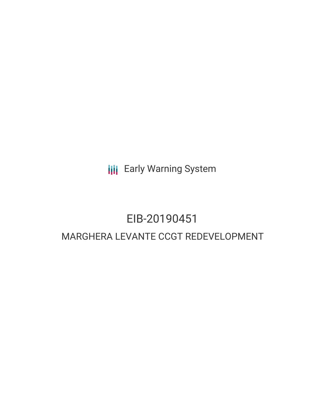**III** Early Warning System

## EIB-20190451 MARGHERA LEVANTE CCGT REDEVELOPMENT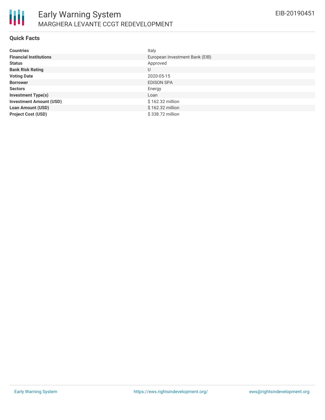

### **Quick Facts**

| <b>Countries</b>               | Italy                          |
|--------------------------------|--------------------------------|
| <b>Financial Institutions</b>  | European Investment Bank (EIB) |
| <b>Status</b>                  | Approved                       |
| <b>Bank Risk Rating</b>        | U                              |
| <b>Voting Date</b>             | 2020-05-15                     |
| <b>Borrower</b>                | <b>EDISON SPA</b>              |
| <b>Sectors</b>                 | Energy                         |
| <b>Investment Type(s)</b>      | Loan                           |
| <b>Investment Amount (USD)</b> | \$162.32 million               |
| <b>Loan Amount (USD)</b>       | \$162.32 million               |
| <b>Project Cost (USD)</b>      | \$338.72 million               |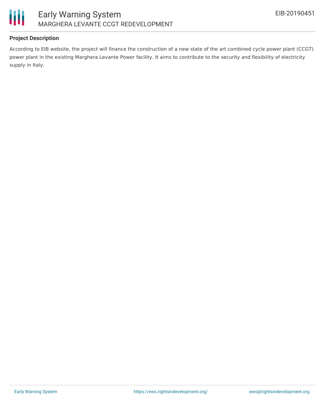

### **Project Description**

According to EIB website, the project will finance the construction of a new state of the art combined cycle power plant (CCGT) power plant in the existing Marghera Levante Power facility. It aims to contribute to the security and flexibility of electricity supply in Italy.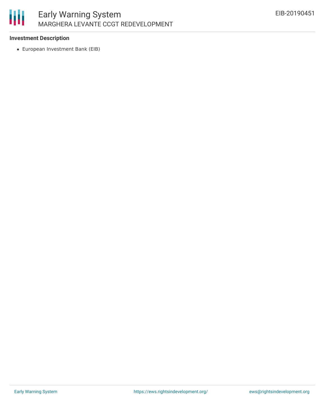

### **Investment Description**

European Investment Bank (EIB)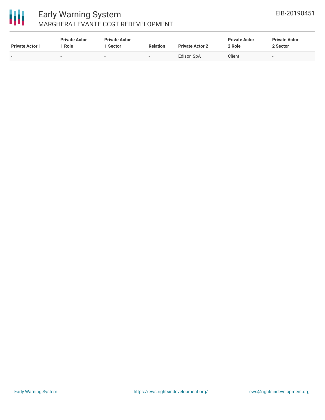# 冊

### Early Warning System MARGHERA LEVANTE CCGT REDEVELOPMENT

| <b>Private Actor 1</b>   | <b>Private Actor</b><br>Role | <b>Private Actor</b><br>Sector | <b>Relation</b> | <b>Private Actor 2</b> | <b>Private Actor</b><br>2 Role | <b>Private Actor</b><br>2 Sector |
|--------------------------|------------------------------|--------------------------------|-----------------|------------------------|--------------------------------|----------------------------------|
| $\overline{\phantom{0}}$ | -                            | -                              | $\sim$          | Edison SpA             | Client                         | $\sim$                           |